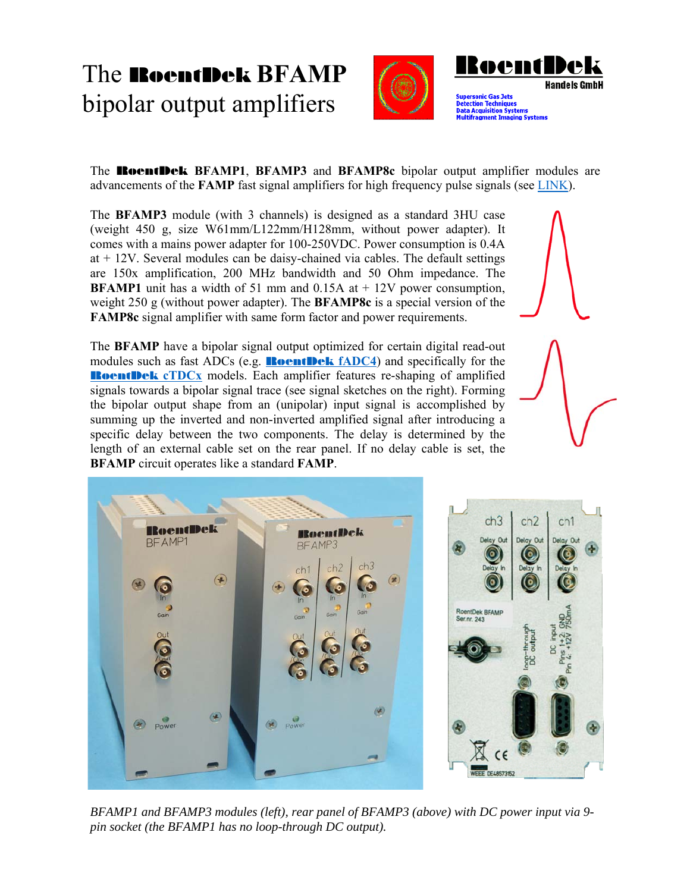## The RoentDek **BFAMP**  bipolar output amplifiers





**Ipersonic Gas Jets** ection Techni n Šyst

The RoentDek **BFAMP1**, **BFAMP3** and **BFAMP8c** bipolar output amplifier modules are advancements of the **FAMP** fast signal amplifiers for high frequency pulse signals (see LINK).

The **BFAMP3** module (with 3 channels) is designed as a standard 3HU case (weight 450 g, size W61mm/L122mm/H128mm, without power adapter). It comes with a mains power adapter for 100-250VDC. Power consumption is 0.4A at + 12V. Several modules can be daisy-chained via cables. The default settings are 150x amplification, 200 MHz bandwidth and 50 Ohm impedance. The **BFAMP1** unit has a width of 51 mm and 0.15A at  $+ 12V$  power consumption, weight 250 g (without power adapter). The **BFAMP8c** is a special version of the **FAMP8c** signal amplifier with same form factor and power requirements.

The **BFAMP** have a bipolar signal output optimized for certain digital read-out modules such as fast ADCs (e.g. RoentDek **fADC4**) and specifically for the **RoentDek cTDCx** models. Each amplifier features re-shaping of amplified signals towards a bipolar signal trace (see signal sketches on the right). Forming the bipolar output shape from an (unipolar) input signal is accomplished by summing up the inverted and non-inverted amplified signal after introducing a specific delay between the two components. The delay is determined by the length of an external cable set on the rear panel. If no delay cable is set, the **BFAMP** circuit operates like a standard **FAMP**.

**RoentDek BoentDek RFAMP1** BFAMP3  $ch2$  $ch1$  $\left( \frac{1}{2} \right)$  $\sqrt{2}$  $\circledast$ Power



*BFAMP1 and BFAMP3 modules (left), rear panel of BFAMP3 (above) with DC power input via 9 pin socket (the BFAMP1 has no loop-through DC output).*